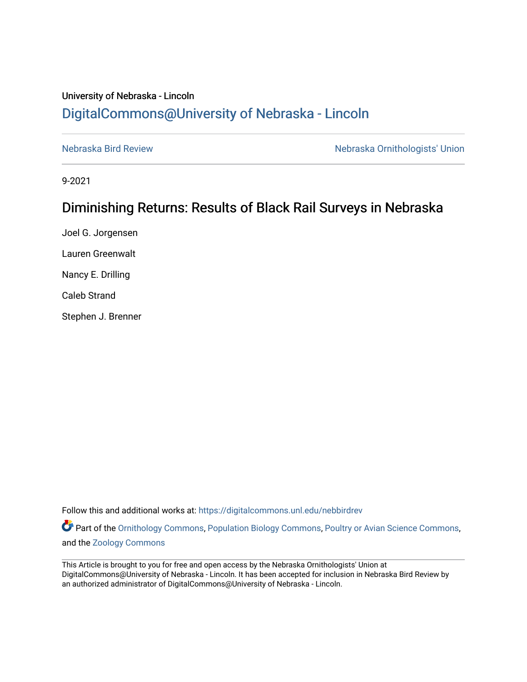# University of Nebraska - Lincoln [DigitalCommons@University of Nebraska - Lincoln](https://digitalcommons.unl.edu/)

[Nebraska Bird Review](https://digitalcommons.unl.edu/nebbirdrev) [Nebraska Ornithologists' Union](https://digitalcommons.unl.edu/nebornithologists) 

9-2021

# Diminishing Returns: Results of Black Rail Surveys in Nebraska

Joel G. Jorgensen Lauren Greenwalt Nancy E. Drilling Caleb Strand Stephen J. Brenner

Follow this and additional works at: [https://digitalcommons.unl.edu/nebbirdrev](https://digitalcommons.unl.edu/nebbirdrev?utm_source=digitalcommons.unl.edu%2Fnebbirdrev%2F1501&utm_medium=PDF&utm_campaign=PDFCoverPages)

Part of the [Ornithology Commons,](http://network.bepress.com/hgg/discipline/1190?utm_source=digitalcommons.unl.edu%2Fnebbirdrev%2F1501&utm_medium=PDF&utm_campaign=PDFCoverPages) [Population Biology Commons](http://network.bepress.com/hgg/discipline/19?utm_source=digitalcommons.unl.edu%2Fnebbirdrev%2F1501&utm_medium=PDF&utm_campaign=PDFCoverPages), [Poultry or Avian Science Commons,](http://network.bepress.com/hgg/discipline/80?utm_source=digitalcommons.unl.edu%2Fnebbirdrev%2F1501&utm_medium=PDF&utm_campaign=PDFCoverPages) and the [Zoology Commons](http://network.bepress.com/hgg/discipline/81?utm_source=digitalcommons.unl.edu%2Fnebbirdrev%2F1501&utm_medium=PDF&utm_campaign=PDFCoverPages) 

This Article is brought to you for free and open access by the Nebraska Ornithologists' Union at DigitalCommons@University of Nebraska - Lincoln. It has been accepted for inclusion in Nebraska Bird Review by an authorized administrator of DigitalCommons@University of Nebraska - Lincoln.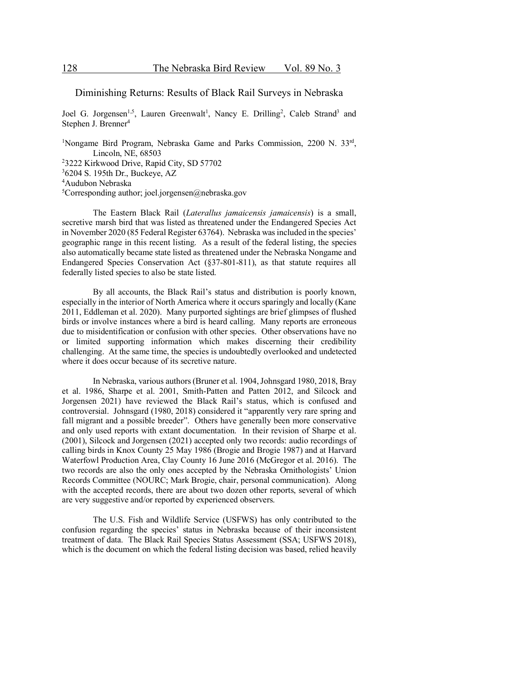# Diminishing Returns: Results of Black Rail Surveys in Nebraska

Joel G. Jorgensen<sup>1,5</sup>, Lauren Greenwalt<sup>1</sup>, Nancy E. Drilling<sup>2</sup>, Caleb Strand<sup>3</sup> and Stephen J. Brenner<sup>4</sup>

<sup>1</sup>Nongame Bird Program, Nebraska Game and Parks Commission, 2200 N. 33rd, Lincoln, NE, 68503 2 3222 Kirkwood Drive, Rapid City, SD 57702 3 6204 S. 195th Dr., Buckeye, AZ 4 Audubon Nebraska <sup>5</sup>Corresponding author; joel.jorgensen@nebraska.gov

The Eastern Black Rail (*Laterallus jamaicensis jamaicensis*) is a small, secretive marsh bird that was listed as threatened under the Endangered Species Act in November 2020 (85 Federal Register 63764). Nebraska was included in the species' geographic range in this recent listing. As a result of the federal listing, the species also automatically became state listed as threatened under the Nebraska Nongame and Endangered Species Conservation Act (§37-801-811), as that statute requires all federally listed species to also be state listed.

By all accounts, the Black Rail's status and distribution is poorly known, especially in the interior of North America where it occurs sparingly and locally (Kane 2011, Eddleman et al. 2020). Many purported sightings are brief glimpses of flushed birds or involve instances where a bird is heard calling. Many reports are erroneous due to misidentification or confusion with other species. Other observations have no or limited supporting information which makes discerning their credibility challenging. At the same time, the species is undoubtedly overlooked and undetected where it does occur because of its secretive nature.

In Nebraska, various authors (Bruner et al. 1904, Johnsgard 1980, 2018, Bray et al. 1986, Sharpe et al. 2001, Smith-Patten and Patten 2012, and Silcock and Jorgensen 2021) have reviewed the Black Rail's status, which is confused and controversial. Johnsgard (1980, 2018) considered it "apparently very rare spring and fall migrant and a possible breeder". Others have generally been more conservative and only used reports with extant documentation. In their revision of Sharpe et al. (2001), Silcock and Jorgensen (2021) accepted only two records: audio recordings of calling birds in Knox County 25 May 1986 (Brogie and Brogie 1987) and at Harvard Waterfowl Production Area, Clay County 16 June 2016 (McGregor et al. 2016). The two records are also the only ones accepted by the Nebraska Ornithologists' Union Records Committee (NOURC; Mark Brogie, chair, personal communication). Along with the accepted records, there are about two dozen other reports, several of which are very suggestive and/or reported by experienced observers.

The U.S. Fish and Wildlife Service (USFWS) has only contributed to the confusion regarding the species' status in Nebraska because of their inconsistent treatment of data. The Black Rail Species Status Assessment (SSA; USFWS 2018), which is the document on which the federal listing decision was based, relied heavily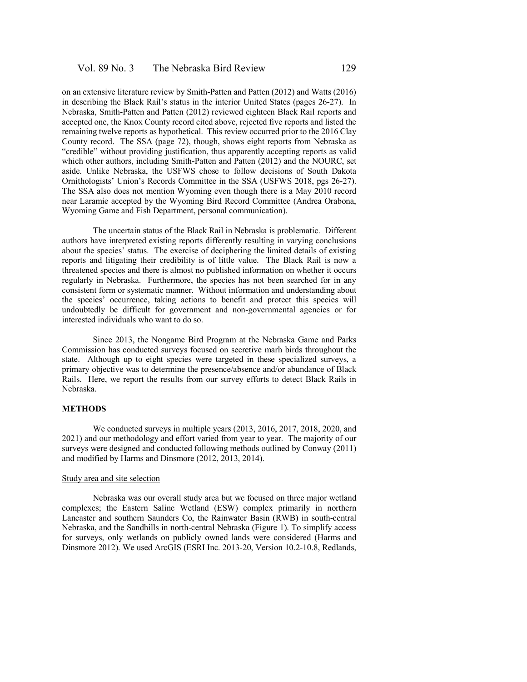on an extensive literature review by Smith-Patten and Patten (2012) and Watts (2016) in describing the Black Rail's status in the interior United States (pages 26-27). In Nebraska, Smith-Patten and Patten (2012) reviewed eighteen Black Rail reports and accepted one, the Knox County record cited above, rejected five reports and listed the remaining twelve reports as hypothetical. This review occurred prior to the 2016 Clay County record. The SSA (page 72), though, shows eight reports from Nebraska as "credible" without providing justification, thus apparently accepting reports as valid which other authors, including Smith-Patten and Patten (2012) and the NOURC, set aside. Unlike Nebraska, the USFWS chose to follow decisions of South Dakota Ornithologists' Union's Records Committee in the SSA (USFWS 2018, pgs 26-27). The SSA also does not mention Wyoming even though there is a May 2010 record near Laramie accepted by the Wyoming Bird Record Committee (Andrea Orabona, Wyoming Game and Fish Department, personal communication).

The uncertain status of the Black Rail in Nebraska is problematic. Different authors have interpreted existing reports differently resulting in varying conclusions about the species' status. The exercise of deciphering the limited details of existing reports and litigating their credibility is of little value. The Black Rail is now a threatened species and there is almost no published information on whether it occurs regularly in Nebraska. Furthermore, the species has not been searched for in any consistent form or systematic manner. Without information and understanding about the species' occurrence, taking actions to benefit and protect this species will undoubtedly be difficult for government and non-governmental agencies or for interested individuals who want to do so.

Since 2013, the Nongame Bird Program at the Nebraska Game and Parks Commission has conducted surveys focused on secretive marh birds throughout the state. Although up to eight species were targeted in these specialized surveys, a primary objective was to determine the presence/absence and/or abundance of Black Rails. Here, we report the results from our survey efforts to detect Black Rails in Nebraska.

## **METHODS**

We conducted surveys in multiple years (2013, 2016, 2017, 2018, 2020, and 2021) and our methodology and effort varied from year to year. The majority of our surveys were designed and conducted following methods outlined by Conway (2011) and modified by Harms and Dinsmore (2012, 2013, 2014).

#### Study area and site selection

Nebraska was our overall study area but we focused on three major wetland complexes; the Eastern Saline Wetland (ESW) complex primarily in northern Lancaster and southern Saunders Co, the Rainwater Basin (RWB) in south-central Nebraska, and the Sandhills in north-central Nebraska (Figure 1). To simplify access for surveys, only wetlands on publicly owned lands were considered (Harms and Dinsmore 2012). We used ArcGIS (ESRI Inc. 2013-20, Version 10.2-10.8, Redlands,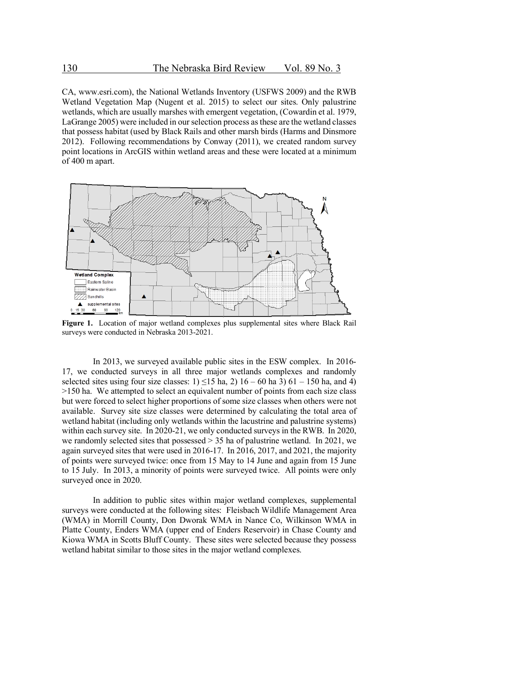CA, www.esri.com), the National Wetlands Inventory (USFWS 2009) and the RWB Wetland Vegetation Map (Nugent et al. 2015) to select our sites. Only palustrine wetlands, which are usually marshes with emergent vegetation, (Cowardin et al. 1979, LaGrange 2005) were included in our selection process as these are the wetland classes that possess habitat (used by Black Rails and other marsh birds (Harms and Dinsmore 2012). Following recommendations by Conway (2011), we created random survey point locations in ArcGIS within wetland areas and these were located at a minimum of 400 m apart.



**Figure 1.** Location of major wetland complexes plus supplemental sites where Black Rail surveys were conducted in Nebraska 2013-2021.

In 2013, we surveyed available public sites in the ESW complex. In 2016- 17, we conducted surveys in all three major wetlands complexes and randomly selected sites using four size classes:  $1) \le 15$  ha,  $2)$  16 – 60 ha 3) 61 – 150 ha, and 4) >150 ha. We attempted to select an equivalent number of points from each size class but were forced to select higher proportions of some size classes when others were not available. Survey site size classes were determined by calculating the total area of wetland habitat (including only wetlands within the lacustrine and palustrine systems) within each survey site. In 2020-21, we only conducted surveys in the RWB. In 2020, we randomly selected sites that possessed > 35 ha of palustrine wetland. In 2021, we again surveyed sites that were used in 2016-17. In 2016, 2017, and 2021, the majority of points were surveyed twice: once from 15 May to 14 June and again from 15 June to 15 July. In 2013, a minority of points were surveyed twice. All points were only surveyed once in 2020.

In addition to public sites within major wetland complexes, supplemental surveys were conducted at the following sites: Fleisbach Wildlife Management Area (WMA) in Morrill County, Don Dworak WMA in Nance Co, Wilkinson WMA in Platte County, Enders WMA (upper end of Enders Reservoir) in Chase County and Kiowa WMA in Scotts Bluff County. These sites were selected because they possess wetland habitat similar to those sites in the major wetland complexes.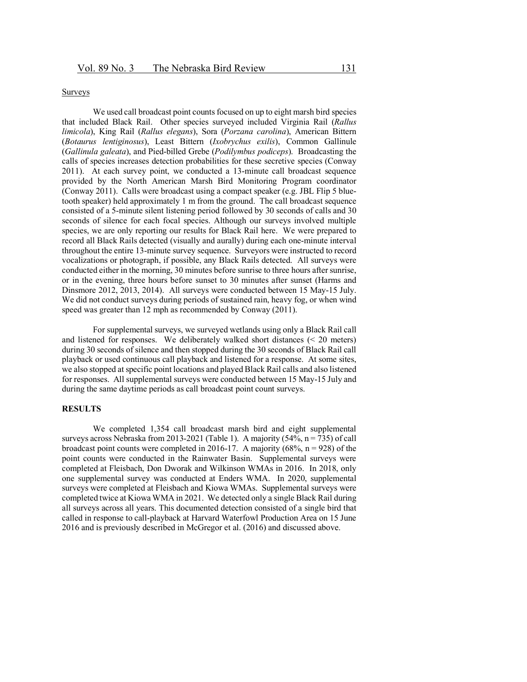#### Surveys

We used call broadcast point counts focused on up to eight marsh bird species that included Black Rail. Other species surveyed included Virginia Rail (*Rallus limicola*), King Rail (*Rallus elegans*), Sora (*Porzana carolina*), American Bittern (*Botaurus lentiginosus*), Least Bittern (*Ixobrychus exilis*), Common Gallinule (*Gallinula galeata*), and Pied-billed Grebe (*Podilymbus podiceps*). Broadcasting the calls of species increases detection probabilities for these secretive species (Conway 2011). At each survey point, we conducted a 13-minute call broadcast sequence provided by the North American Marsh Bird Monitoring Program coordinator (Conway 2011). Calls were broadcast using a compact speaker (e.g. JBL Flip 5 bluetooth speaker) held approximately 1 m from the ground. The call broadcast sequence consisted of a 5-minute silent listening period followed by 30 seconds of calls and 30 seconds of silence for each focal species. Although our surveys involved multiple species, we are only reporting our results for Black Rail here. We were prepared to record all Black Rails detected (visually and aurally) during each one-minute interval throughout the entire 13-minute survey sequence. Surveyors were instructed to record vocalizations or photograph, if possible, any Black Rails detected. All surveys were conducted either in the morning, 30 minutes before sunrise to three hours after sunrise, or in the evening, three hours before sunset to 30 minutes after sunset (Harms and Dinsmore 2012, 2013, 2014). All surveys were conducted between 15 May-15 July. We did not conduct surveys during periods of sustained rain, heavy fog, or when wind speed was greater than 12 mph as recommended by Conway (2011).

For supplemental surveys, we surveyed wetlands using only a Black Rail call and listened for responses. We deliberately walked short distances (< 20 meters) during 30 seconds of silence and then stopped during the 30 seconds of Black Rail call playback or used continuous call playback and listened for a response. At some sites, we also stopped at specific point locations and played Black Rail calls and also listened for responses. All supplemental surveys were conducted between 15 May-15 July and during the same daytime periods as call broadcast point count surveys.

## **RESULTS**

We completed 1,354 call broadcast marsh bird and eight supplemental surveys across Nebraska from 2013-2021 (Table 1). A majority (54%,  $n = 735$ ) of call broadcast point counts were completed in 2016-17. A majority (68%,  $n = 928$ ) of the point counts were conducted in the Rainwater Basin. Supplemental surveys were completed at Fleisbach, Don Dworak and Wilkinson WMAs in 2016. In 2018, only one supplemental survey was conducted at Enders WMA. In 2020, supplemental surveys were completed at Fleisbach and Kiowa WMAs. Supplemental surveys were completed twice at Kiowa WMA in 2021. We detected only a single Black Rail during all surveys across all years. This documented detection consisted of a single bird that called in response to call-playback at Harvard Waterfowl Production Area on 15 June 2016 and is previously described in McGregor et al. (2016) and discussed above.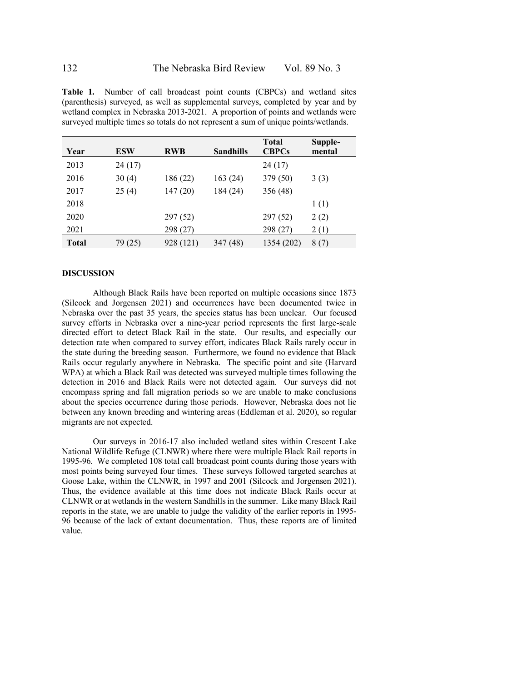**Table 1.** Number of call broadcast point counts (CBPCs) and wetland sites (parenthesis) surveyed, as well as supplemental surveys, completed by year and by wetland complex in Nebraska 2013-2021. A proportion of points and wetlands were surveyed multiple times so totals do not represent a sum of unique points/wetlands.

| Year         | ESW     | <b>RWB</b> | <b>Sandhills</b> | <b>Total</b><br><b>CBPCs</b> | Supple-<br>mental |
|--------------|---------|------------|------------------|------------------------------|-------------------|
| 2013         | 24(17)  |            |                  | 24 (17)                      |                   |
| 2016         | 30(4)   | 186 (22)   | 163(24)          | 379 (50)                     | 3(3)              |
| 2017         | 25(4)   | 147(20)    | 184 (24)         | 356 (48)                     |                   |
| 2018         |         |            |                  |                              | 1(1)              |
| 2020         |         | 297 (52)   |                  | 297 (52)                     | 2(2)              |
| 2021         |         | 298 (27)   |                  | 298 (27)                     | 2(1)              |
| <b>Total</b> | 79 (25) | 928 (121)  | (48)<br>347      | 1354 (202)                   | 8(7)              |

#### **DISCUSSION**

Although Black Rails have been reported on multiple occasions since 1873 (Silcock and Jorgensen 2021) and occurrences have been documented twice in Nebraska over the past 35 years, the species status has been unclear. Our focused survey efforts in Nebraska over a nine-year period represents the first large-scale directed effort to detect Black Rail in the state. Our results, and especially our detection rate when compared to survey effort, indicates Black Rails rarely occur in the state during the breeding season. Furthermore, we found no evidence that Black Rails occur regularly anywhere in Nebraska. The specific point and site (Harvard WPA) at which a Black Rail was detected was surveyed multiple times following the detection in 2016 and Black Rails were not detected again. Our surveys did not encompass spring and fall migration periods so we are unable to make conclusions about the species occurrence during those periods. However, Nebraska does not lie between any known breeding and wintering areas (Eddleman et al. 2020), so regular migrants are not expected.

Our surveys in 2016-17 also included wetland sites within Crescent Lake National Wildlife Refuge (CLNWR) where there were multiple Black Rail reports in 1995-96. We completed 108 total call broadcast point counts during those years with most points being surveyed four times. These surveys followed targeted searches at Goose Lake, within the CLNWR, in 1997 and 2001 (Silcock and Jorgensen 2021). Thus, the evidence available at this time does not indicate Black Rails occur at CLNWR or at wetlands in the western Sandhills in the summer. Like many Black Rail reports in the state, we are unable to judge the validity of the earlier reports in 1995- 96 because of the lack of extant documentation. Thus, these reports are of limited value.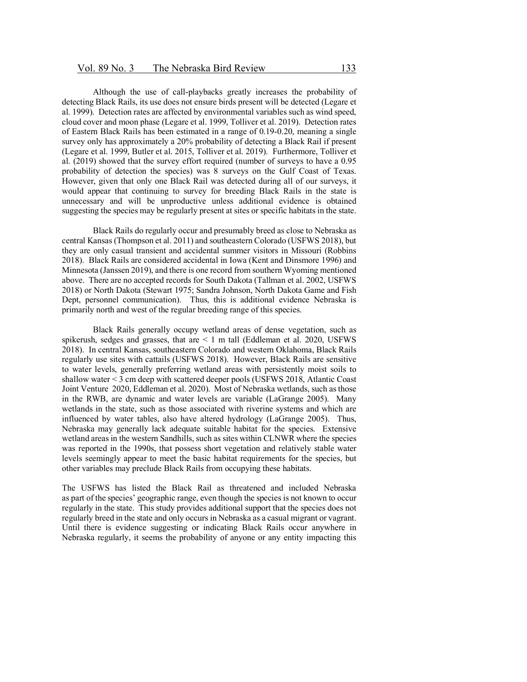Although the use of call-playbacks greatly increases the probability of detecting Black Rails, its use does not ensure birds present will be detected (Legare et al. 1999). Detection rates are affected by environmental variables such as wind speed, cloud cover and moon phase (Legare et al. 1999, Tolliver et al. 2019). Detection rates of Eastern Black Rails has been estimated in a range of 0.19-0.20, meaning a single survey only has approximately a 20% probability of detecting a Black Rail if present (Legare et al. 1999, Butler et al. 2015, Tolliver et al. 2019). Furthermore, Tolliver et al. (2019) showed that the survey effort required (number of surveys to have a 0.95 probability of detection the species) was 8 surveys on the Gulf Coast of Texas. However, given that only one Black Rail was detected during all of our surveys, it would appear that continuing to survey for breeding Black Rails in the state is unnecessary and will be unproductive unless additional evidence is obtained suggesting the species may be regularly present at sites or specific habitats in the state.

Black Rails do regularly occur and presumably breed as close to Nebraska as central Kansas (Thompson et al. 2011) and southeastern Colorado (USFWS 2018), but they are only casual transient and accidental summer visitors in Missouri (Robbins 2018). Black Rails are considered accidental in Iowa (Kent and Dinsmore 1996) and Minnesota (Janssen 2019), and there is one record from southern Wyoming mentioned above. There are no accepted records for South Dakota (Tallman et al. 2002, USFWS 2018) or North Dakota (Stewart 1975; Sandra Johnson, North Dakota Game and Fish Dept, personnel communication). Thus, this is additional evidence Nebraska is primarily north and west of the regular breeding range of this species.

Black Rails generally occupy wetland areas of dense vegetation, such as spikerush, sedges and grasses, that are  $\leq 1$  m tall (Eddleman et al. 2020, USFWS 2018). In central Kansas, southeastern Colorado and western Oklahoma, Black Rails regularly use sites with cattails (USFWS 2018). However, Black Rails are sensitive to water levels, generally preferring wetland areas with persistently moist soils to shallow water < 3 cm deep with scattered deeper pools (USFWS 2018, Atlantic Coast Joint Venture 2020, Eddleman et al. 2020). Most of Nebraska wetlands, such as those in the RWB, are dynamic and water levels are variable (LaGrange 2005). Many wetlands in the state, such as those associated with riverine systems and which are influenced by water tables, also have altered hydrology (LaGrange 2005). Thus, Nebraska may generally lack adequate suitable habitat for the species. Extensive wetland areas in the western Sandhills, such as sites within CLNWR where the species was reported in the 1990s, that possess short vegetation and relatively stable water levels seemingly appear to meet the basic habitat requirements for the species, but other variables may preclude Black Rails from occupying these habitats.

The USFWS has listed the Black Rail as threatened and included Nebraska as part of the species' geographic range, even though the species is not known to occur regularly in the state. This study provides additional support that the species does not regularly breed in the state and only occurs in Nebraska as a casual migrant or vagrant. Until there is evidence suggesting or indicating Black Rails occur anywhere in Nebraska regularly, it seems the probability of anyone or any entity impacting this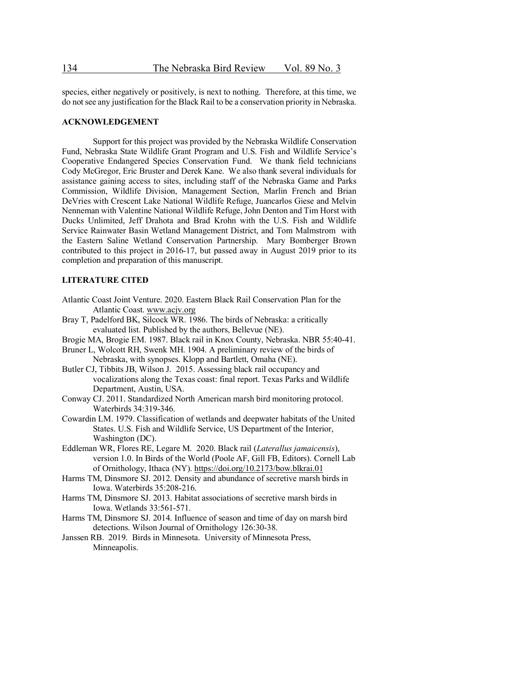species, either negatively or positively, is next to nothing. Therefore, at this time, we do not see any justification for the Black Rail to be a conservation priority in Nebraska.

#### **ACKNOWLEDGEMENT**

Support for this project was provided by the Nebraska Wildlife Conservation Fund, Nebraska State Wildlife Grant Program and U.S. Fish and Wildlife Service's Cooperative Endangered Species Conservation Fund. We thank field technicians Cody McGregor, Eric Bruster and Derek Kane. We also thank several individuals for assistance gaining access to sites, including staff of the Nebraska Game and Parks Commission, Wildlife Division, Management Section, Marlin French and Brian DeVries with Crescent Lake National Wildlife Refuge, Juancarlos Giese and Melvin Nenneman with Valentine National Wildlife Refuge, John Denton and Tim Horst with Ducks Unlimited, Jeff Drahota and Brad Krohn with the U.S. Fish and Wildlife Service Rainwater Basin Wetland Management District, and Tom Malmstrom with the Eastern Saline Wetland Conservation Partnership. Mary Bomberger Brown contributed to this project in 2016-17, but passed away in August 2019 prior to its completion and preparation of this manuscript.

#### **LITERATURE CITED**

- Atlantic Coast Joint Venture. 2020. Eastern Black Rail Conservation Plan for the Atlantic Coast. www.acjv.org
- Bray T, Padelford BK, Silcock WR. 1986. The birds of Nebraska: a critically evaluated list. Published by the authors, Bellevue (NE).
- Brogie MA, Brogie EM. 1987. Black rail in Knox County, Nebraska. NBR 55:40-41.
- Bruner L, Wolcott RH, Swenk MH. 1904. A preliminary review of the birds of Nebraska, with synopses. Klopp and Bartlett, Omaha (NE).
- Butler CJ, Tibbits JB, Wilson J. 2015. Assessing black rail occupancy and vocalizations along the Texas coast: final report. Texas Parks and Wildlife Department, Austin, USA.
- Conway CJ. 2011. Standardized North American marsh bird monitoring protocol. Waterbirds 34:319-346.
- Cowardin LM. 1979. Classification of wetlands and deepwater habitats of the United States. U.S. Fish and Wildlife Service, US Department of the Interior, Washington (DC).
- Eddleman WR, Flores RE, Legare M. 2020. Black rail (*Laterallus jamaicensis*), version 1.0. In Birds of the World (Poole AF, Gill FB, Editors). Cornell Lab of Ornithology, Ithaca (NY). https://doi.org/10.2173/bow.blkrai.01
- Harms TM, Dinsmore SJ. 2012. Density and abundance of secretive marsh birds in Iowa. Waterbirds 35:208-216.
- Harms TM, Dinsmore SJ. 2013. Habitat associations of secretive marsh birds in Iowa. Wetlands 33:561-571.
- Harms TM, Dinsmore SJ. 2014. Influence of season and time of day on marsh bird detections. Wilson Journal of Ornithology 126:30-38.
- Janssen RB. 2019. Birds in Minnesota. University of Minnesota Press, Minneapolis.